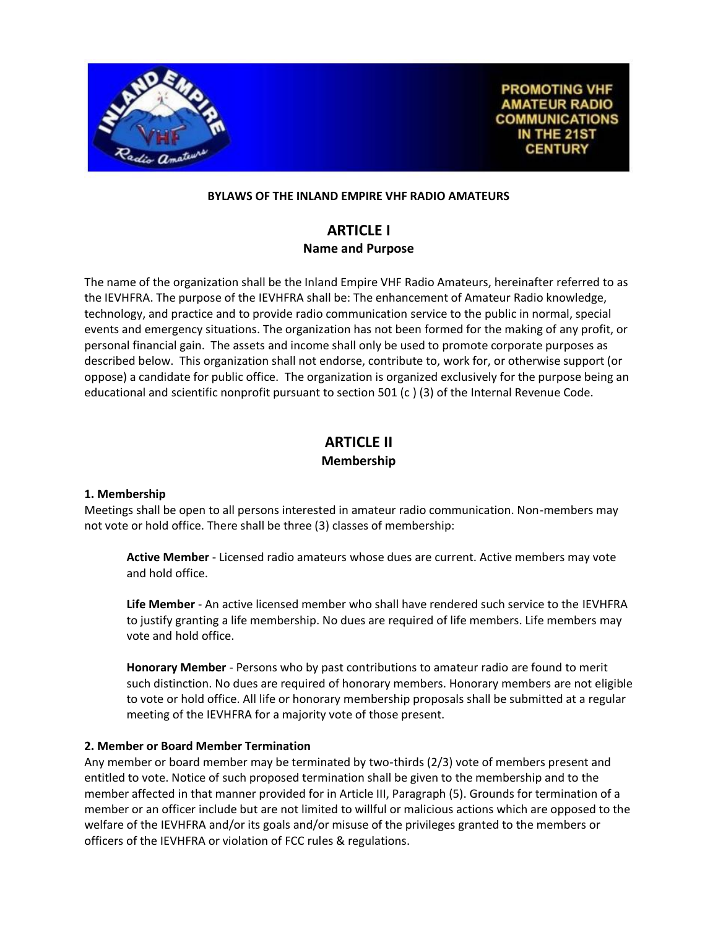

**PROMOTING VHF AMATEUR RADIO COMMUNICATIONS** IN THE 21ST **CENTURY** 

#### **BYLAWS OF THE INLAND EMPIRE VHF RADIO AMATEURS**

# **ARTICLE I Name and Purpose**

The name of the organization shall be the Inland Empire VHF Radio Amateurs, hereinafter referred to as the IEVHFRA. The purpose of the IEVHFRA shall be: The enhancement of Amateur Radio knowledge, technology, and practice and to provide radio communication service to the public in normal, special events and emergency situations. The organization has not been formed for the making of any profit, or personal financial gain. The assets and income shall only be used to promote corporate purposes as described below. This organization shall not endorse, contribute to, work for, or otherwise support (or oppose) a candidate for public office. The organization is organized exclusively for the purpose being an educational and scientific nonprofit pursuant to section 501 (c ) (3) of the Internal Revenue Code.

# **ARTICLE II Membership**

#### **1. Membership**

Meetings shall be open to all persons interested in amateur radio communication. Non-members may not vote or hold office. There shall be three (3) classes of membership:

**Active Member** - Licensed radio amateurs whose dues are current. Active members may vote and hold office.

**Life Member** - An active licensed member who shall have rendered such service to the IEVHFRA to justify granting a life membership. No dues are required of life members. Life members may vote and hold office.

**Honorary Member** - Persons who by past contributions to amateur radio are found to merit such distinction. No dues are required of honorary members. Honorary members are not eligible to vote or hold office. All life or honorary membership proposals shall be submitted at a regular meeting of the IEVHFRA for a majority vote of those present.

#### **2. Member or Board Member Termination**

Any member or board member may be terminated by two-thirds (2/3) vote of members present and entitled to vote. Notice of such proposed termination shall be given to the membership and to the member affected in that manner provided for in Article III, Paragraph (5). Grounds for termination of a member or an officer include but are not limited to willful or malicious actions which are opposed to the welfare of the IEVHFRA and/or its goals and/or misuse of the privileges granted to the members or officers of the IEVHFRA or violation of FCC rules & regulations.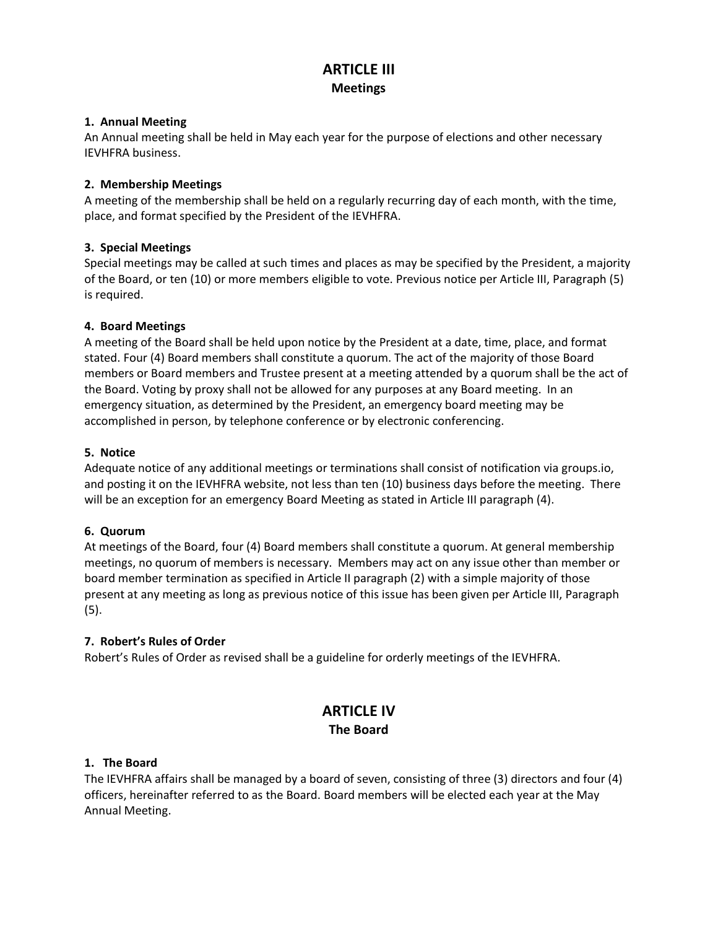## **ARTICLE III Meetings**

### **1. Annual Meeting**

An Annual meeting shall be held in May each year for the purpose of elections and other necessary IEVHFRA business.

## **2. Membership Meetings**

A meeting of the membership shall be held on a regularly recurring day of each month, with the time, place, and format specified by the President of the IEVHFRA.

### **3. Special Meetings**

Special meetings may be called at such times and places as may be specified by the President, a majority of the Board, or ten (10) or more members eligible to vote. Previous notice per Article III, Paragraph (5) is required.

### **4. Board Meetings**

A meeting of the Board shall be held upon notice by the President at a date, time, place, and format stated. Four (4) Board members shall constitute a quorum. The act of the majority of those Board members or Board members and Trustee present at a meeting attended by a quorum shall be the act of the Board. Voting by proxy shall not be allowed for any purposes at any Board meeting. In an emergency situation, as determined by the President, an emergency board meeting may be accomplished in person, by telephone conference or by electronic conferencing.

### **5. Notice**

Adequate notice of any additional meetings or terminations shall consist of notification via groups.io, and posting it on the IEVHFRA website, not less than ten (10) business days before the meeting. There will be an exception for an emergency Board Meeting as stated in Article III paragraph (4).

#### **6. Quorum**

At meetings of the Board, four (4) Board members shall constitute a quorum. At general membership meetings, no quorum of members is necessary. Members may act on any issue other than member or board member termination as specified in Article II paragraph (2) with a simple majority of those present at any meeting as long as previous notice of this issue has been given per Article III, Paragraph (5).

## **7. Robert's Rules of Order**

Robert's Rules of Order as revised shall be a guideline for orderly meetings of the IEVHFRA.

# **ARTICLE IV The Board**

#### **1. The Board**

The IEVHFRA affairs shall be managed by a board of seven, consisting of three (3) directors and four (4) officers, hereinafter referred to as the Board. Board members will be elected each year at the May Annual Meeting.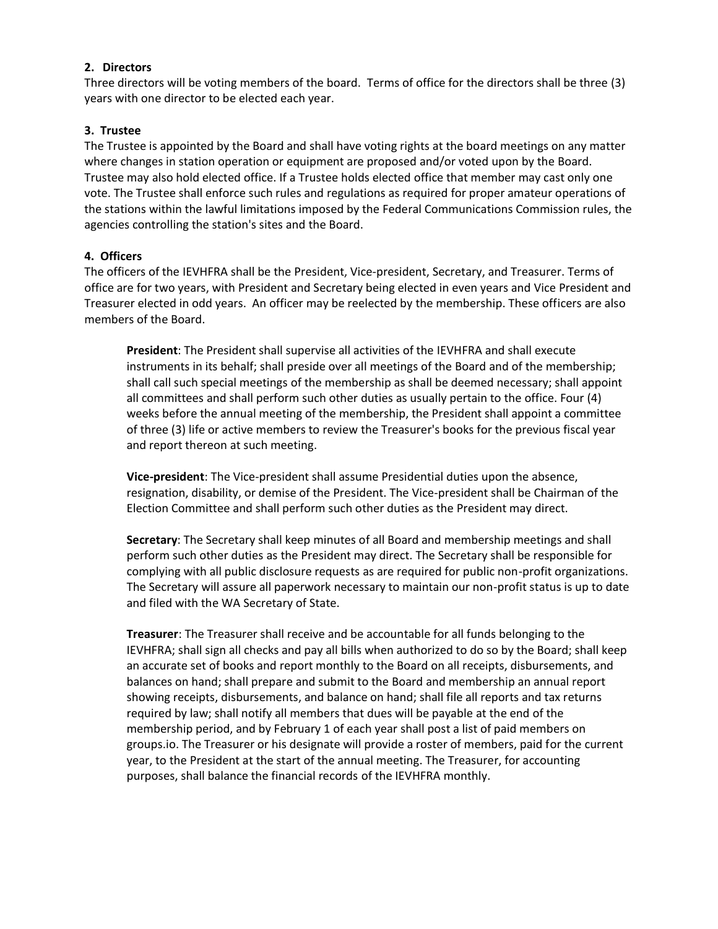#### **2. Directors**

Three directors will be voting members of the board. Terms of office for the directors shall be three (3) years with one director to be elected each year.

#### **3. Trustee**

The Trustee is appointed by the Board and shall have voting rights at the board meetings on any matter where changes in station operation or equipment are proposed and/or voted upon by the Board. Trustee may also hold elected office. If a Trustee holds elected office that member may cast only one vote. The Trustee shall enforce such rules and regulations as required for proper amateur operations of the stations within the lawful limitations imposed by the Federal Communications Commission rules, the agencies controlling the station's sites and the Board.

#### **4. Officers**

The officers of the IEVHFRA shall be the President, Vice-president, Secretary, and Treasurer. Terms of office are for two years, with President and Secretary being elected in even years and Vice President and Treasurer elected in odd years. An officer may be reelected by the membership. These officers are also members of the Board.

**President**: The President shall supervise all activities of the IEVHFRA and shall execute instruments in its behalf; shall preside over all meetings of the Board and of the membership; shall call such special meetings of the membership as shall be deemed necessary; shall appoint all committees and shall perform such other duties as usually pertain to the office. Four (4) weeks before the annual meeting of the membership, the President shall appoint a committee of three (3) life or active members to review the Treasurer's books for the previous fiscal year and report thereon at such meeting.

**Vice-president**: The Vice-president shall assume Presidential duties upon the absence, resignation, disability, or demise of the President. The Vice-president shall be Chairman of the Election Committee and shall perform such other duties as the President may direct.

**Secretary**: The Secretary shall keep minutes of all Board and membership meetings and shall perform such other duties as the President may direct. The Secretary shall be responsible for complying with all public disclosure requests as are required for public non-profit organizations. The Secretary will assure all paperwork necessary to maintain our non-profit status is up to date and filed with the WA Secretary of State.

**Treasurer**: The Treasurer shall receive and be accountable for all funds belonging to the IEVHFRA; shall sign all checks and pay all bills when authorized to do so by the Board; shall keep an accurate set of books and report monthly to the Board on all receipts, disbursements, and balances on hand; shall prepare and submit to the Board and membership an annual report showing receipts, disbursements, and balance on hand; shall file all reports and tax returns required by law; shall notify all members that dues will be payable at the end of the membership period, and by February 1 of each year shall post a list of paid members on groups.io. The Treasurer or his designate will provide a roster of members, paid for the current year, to the President at the start of the annual meeting. The Treasurer, for accounting purposes, shall balance the financial records of the IEVHFRA monthly.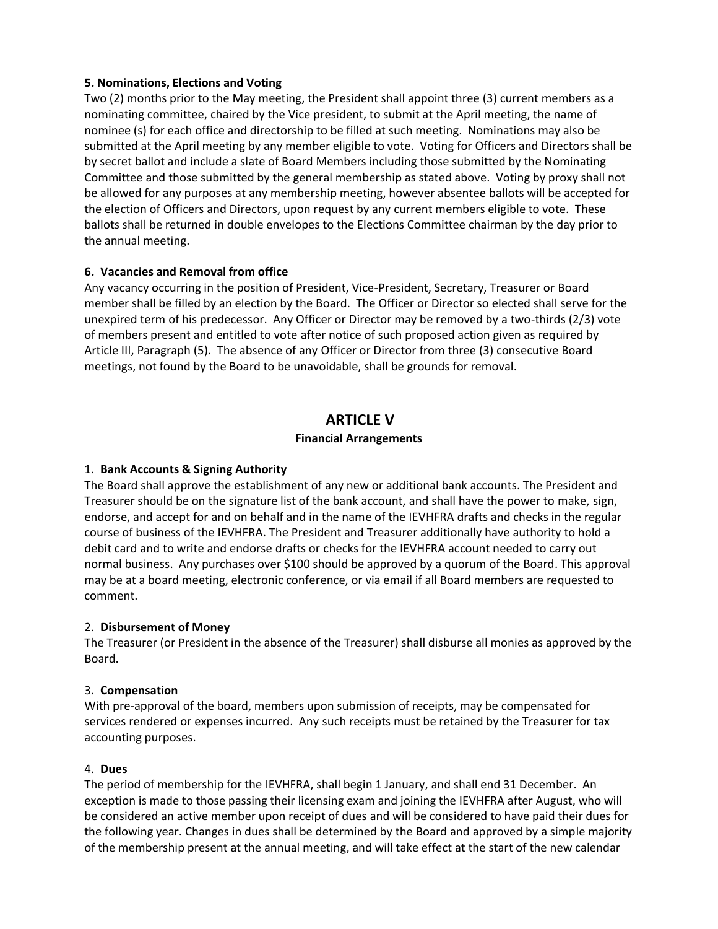#### **5. Nominations, Elections and Voting**

Two (2) months prior to the May meeting, the President shall appoint three (3) current members as a nominating committee, chaired by the Vice president, to submit at the April meeting, the name of nominee (s) for each office and directorship to be filled at such meeting. Nominations may also be submitted at the April meeting by any member eligible to vote. Voting for Officers and Directors shall be by secret ballot and include a slate of Board Members including those submitted by the Nominating Committee and those submitted by the general membership as stated above. Voting by proxy shall not be allowed for any purposes at any membership meeting, however absentee ballots will be accepted for the election of Officers and Directors, upon request by any current members eligible to vote. These ballots shall be returned in double envelopes to the Elections Committee chairman by the day prior to the annual meeting.

### **6. Vacancies and Removal from office**

Any vacancy occurring in the position of President, Vice-President, Secretary, Treasurer or Board member shall be filled by an election by the Board. The Officer or Director so elected shall serve for the unexpired term of his predecessor. Any Officer or Director may be removed by a two-thirds (2/3) vote of members present and entitled to vote after notice of such proposed action given as required by Article III, Paragraph (5). The absence of any Officer or Director from three (3) consecutive Board meetings, not found by the Board to be unavoidable, shall be grounds for removal.

## **ARTICLE V**

### **Financial Arrangements**

## 1. **Bank Accounts & Signing Authority**

The Board shall approve the establishment of any new or additional bank accounts. The President and Treasurer should be on the signature list of the bank account, and shall have the power to make, sign, endorse, and accept for and on behalf and in the name of the IEVHFRA drafts and checks in the regular course of business of the IEVHFRA. The President and Treasurer additionally have authority to hold a debit card and to write and endorse drafts or checks for the IEVHFRA account needed to carry out normal business. Any purchases over \$100 should be approved by a quorum of the Board. This approval may be at a board meeting, electronic conference, or via email if all Board members are requested to comment.

#### 2. **Disbursement of Money**

The Treasurer (or President in the absence of the Treasurer) shall disburse all monies as approved by the Board.

#### 3. **Compensation**

With pre-approval of the board, members upon submission of receipts, may be compensated for services rendered or expenses incurred. Any such receipts must be retained by the Treasurer for tax accounting purposes.

#### 4. **Dues**

The period of membership for the IEVHFRA, shall begin 1 January, and shall end 31 December. An exception is made to those passing their licensing exam and joining the IEVHFRA after August, who will be considered an active member upon receipt of dues and will be considered to have paid their dues for the following year. Changes in dues shall be determined by the Board and approved by a simple majority of the membership present at the annual meeting, and will take effect at the start of the new calendar